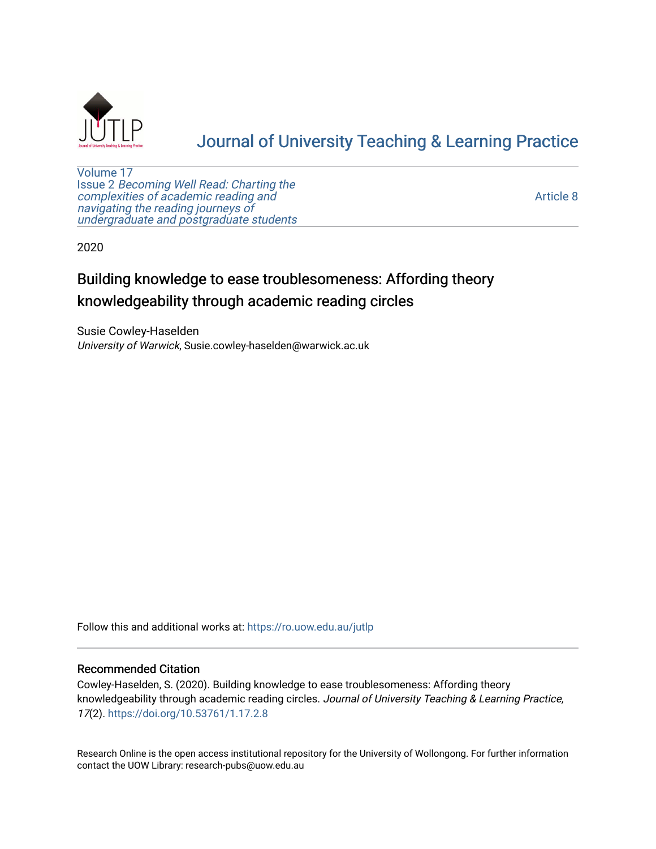

# [Journal of University Teaching & Learning Practice](https://ro.uow.edu.au/jutlp)

[Volume 17](https://ro.uow.edu.au/jutlp/vol17) Issue 2 [Becoming Well Read: Charting the](https://ro.uow.edu.au/jutlp/vol17/iss2) [complexities of academic reading and](https://ro.uow.edu.au/jutlp/vol17/iss2)  [navigating the reading journeys of](https://ro.uow.edu.au/jutlp/vol17/iss2) [undergraduate and postgraduate students](https://ro.uow.edu.au/jutlp/vol17/iss2)

[Article 8](https://ro.uow.edu.au/jutlp/vol17/iss2/8) 

2020

# Building knowledge to ease troublesomeness: Affording theory knowledgeability through academic reading circles

Susie Cowley-Haselden University of Warwick, Susie.cowley-haselden@warwick.ac.uk

Follow this and additional works at: [https://ro.uow.edu.au/jutlp](https://ro.uow.edu.au/jutlp?utm_source=ro.uow.edu.au%2Fjutlp%2Fvol17%2Fiss2%2F8&utm_medium=PDF&utm_campaign=PDFCoverPages) 

### Recommended Citation

Cowley-Haselden, S. (2020). Building knowledge to ease troublesomeness: Affording theory knowledgeability through academic reading circles. Journal of University Teaching & Learning Practice, 17(2). <https://doi.org/10.53761/1.17.2.8>

Research Online is the open access institutional repository for the University of Wollongong. For further information contact the UOW Library: research-pubs@uow.edu.au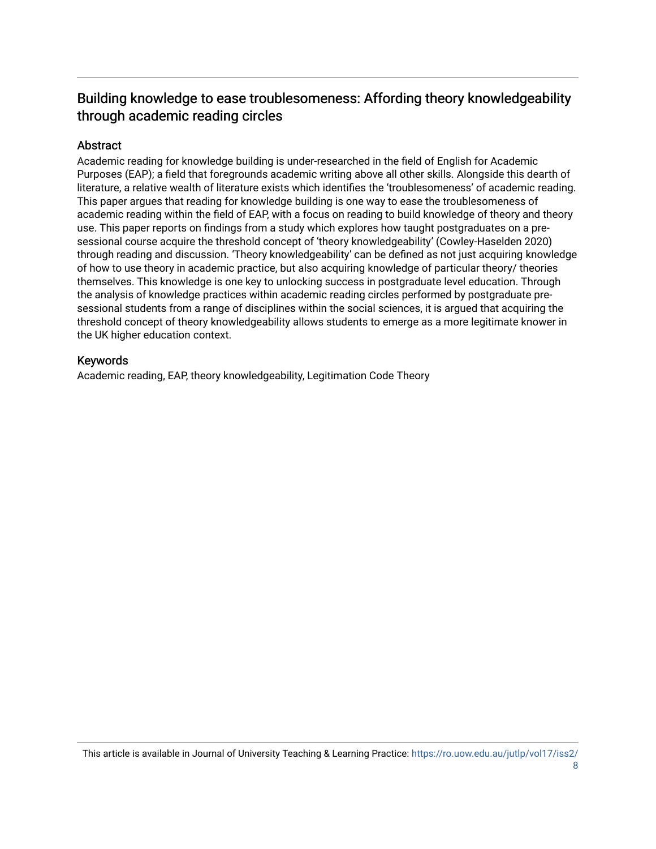## Building knowledge to ease troublesomeness: Affording theory knowledgeability through academic reading circles

## Abstract

Academic reading for knowledge building is under-researched in the field of English for Academic Purposes (EAP); a field that foregrounds academic writing above all other skills. Alongside this dearth of literature, a relative wealth of literature exists which identifies the 'troublesomeness' of academic reading. This paper argues that reading for knowledge building is one way to ease the troublesomeness of academic reading within the field of EAP, with a focus on reading to build knowledge of theory and theory use. This paper reports on findings from a study which explores how taught postgraduates on a presessional course acquire the threshold concept of 'theory knowledgeability' (Cowley-Haselden 2020) through reading and discussion. 'Theory knowledgeability' can be defined as not just acquiring knowledge of how to use theory in academic practice, but also acquiring knowledge of particular theory/ theories themselves. This knowledge is one key to unlocking success in postgraduate level education. Through the analysis of knowledge practices within academic reading circles performed by postgraduate presessional students from a range of disciplines within the social sciences, it is argued that acquiring the threshold concept of theory knowledgeability allows students to emerge as a more legitimate knower in the UK higher education context.

## Keywords

Academic reading, EAP, theory knowledgeability, Legitimation Code Theory

This article is available in Journal of University Teaching & Learning Practice: [https://ro.uow.edu.au/jutlp/vol17/iss2/](https://ro.uow.edu.au/jutlp/vol17/iss2/8)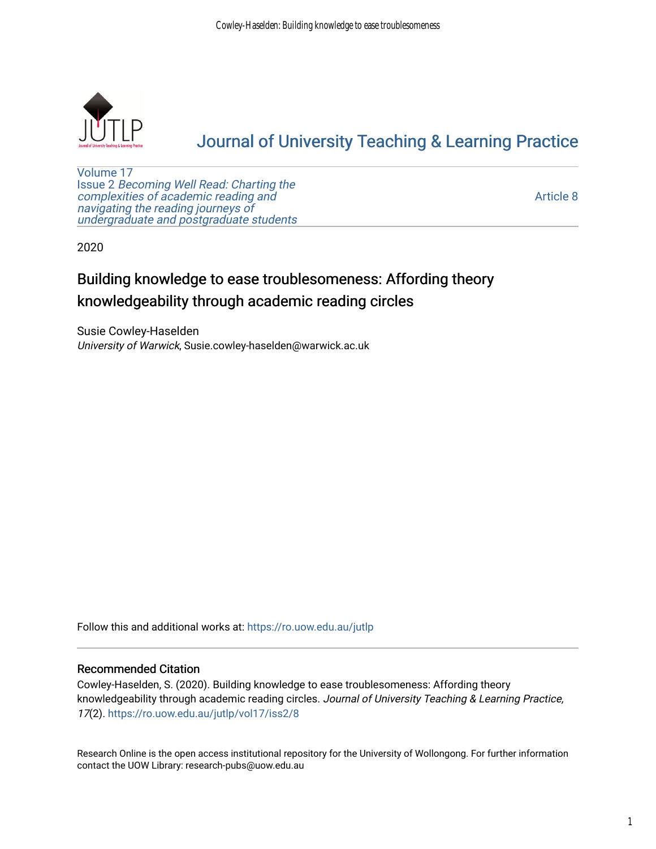

# [Journal of University Teaching & Learning Practice](https://ro.uow.edu.au/jutlp)

[Volume 17](https://ro.uow.edu.au/jutlp/vol17) Issue 2 [Becoming Well Read: Charting the](https://ro.uow.edu.au/jutlp/vol17/iss2) [complexities of academic reading and](https://ro.uow.edu.au/jutlp/vol17/iss2)  [navigating the reading journeys of](https://ro.uow.edu.au/jutlp/vol17/iss2) [undergraduate and postgraduate students](https://ro.uow.edu.au/jutlp/vol17/iss2)

[Article 8](https://ro.uow.edu.au/jutlp/vol17/iss2/8) 

2020

# Building knowledge to ease troublesomeness: Affording theory knowledgeability through academic reading circles

Susie Cowley-Haselden University of Warwick, Susie.cowley-haselden@warwick.ac.uk

Follow this and additional works at: [https://ro.uow.edu.au/jutlp](https://ro.uow.edu.au/jutlp?utm_source=ro.uow.edu.au%2Fjutlp%2Fvol17%2Fiss2%2F8&utm_medium=PDF&utm_campaign=PDFCoverPages) 

### Recommended Citation

Cowley-Haselden, S. (2020). Building knowledge to ease troublesomeness: Affording theory knowledgeability through academic reading circles. Journal of University Teaching & Learning Practice, 17(2). [https://ro.uow.edu.au/jutlp/vol17/iss2/8](https://ro.uow.edu.au/jutlp/vol17/iss2/8?utm_source=ro.uow.edu.au%2Fjutlp%2Fvol17%2Fiss2%2F8&utm_medium=PDF&utm_campaign=PDFCoverPages)

Research Online is the open access institutional repository for the University of Wollongong. For further information contact the UOW Library: research-pubs@uow.edu.au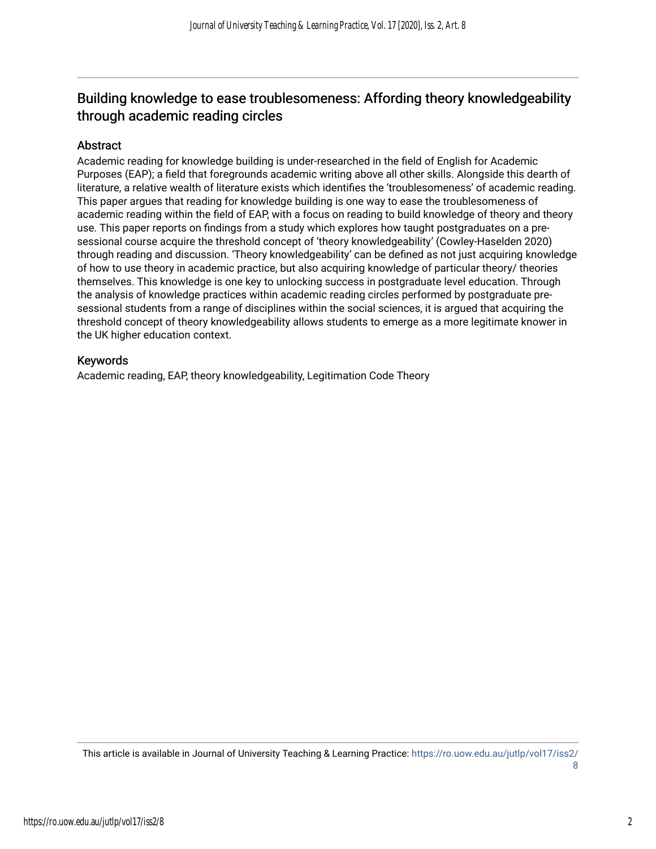## Building knowledge to ease troublesomeness: Affording theory knowledgeability through academic reading circles

## Abstract

Academic reading for knowledge building is under-researched in the field of English for Academic Purposes (EAP); a field that foregrounds academic writing above all other skills. Alongside this dearth of literature, a relative wealth of literature exists which identifies the 'troublesomeness' of academic reading. This paper argues that reading for knowledge building is one way to ease the troublesomeness of academic reading within the field of EAP, with a focus on reading to build knowledge of theory and theory use. This paper reports on findings from a study which explores how taught postgraduates on a presessional course acquire the threshold concept of 'theory knowledgeability' (Cowley-Haselden 2020) through reading and discussion. 'Theory knowledgeability' can be defined as not just acquiring knowledge of how to use theory in academic practice, but also acquiring knowledge of particular theory/ theories themselves. This knowledge is one key to unlocking success in postgraduate level education. Through the analysis of knowledge practices within academic reading circles performed by postgraduate presessional students from a range of disciplines within the social sciences, it is argued that acquiring the threshold concept of theory knowledgeability allows students to emerge as a more legitimate knower in the UK higher education context.

## Keywords

Academic reading, EAP, theory knowledgeability, Legitimation Code Theory

This article is available in Journal of University Teaching & Learning Practice: [https://ro.uow.edu.au/jutlp/vol17/iss2/](https://ro.uow.edu.au/jutlp/vol17/iss2/8) [8](https://ro.uow.edu.au/jutlp/vol17/iss2/8)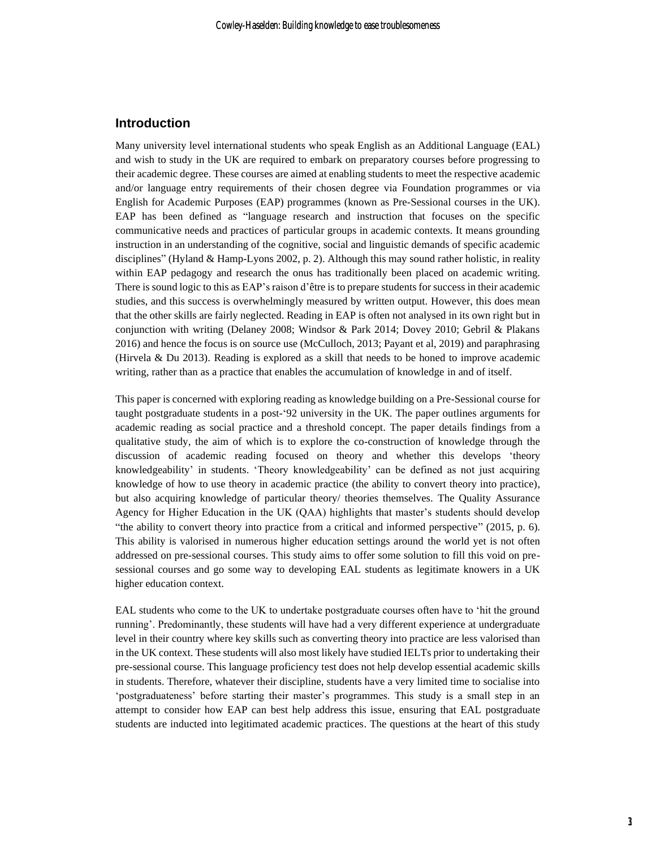## **Introduction**

Many university level international students who speak English as an Additional Language (EAL) and wish to study in the UK are required to embark on preparatory courses before progressing to their academic degree. These courses are aimed at enabling students to meet the respective academic and/or language entry requirements of their chosen degree via Foundation programmes or via English for Academic Purposes (EAP) programmes (known as Pre-Sessional courses in the UK). EAP has been defined as "language research and instruction that focuses on the specific communicative needs and practices of particular groups in academic contexts. It means grounding instruction in an understanding of the cognitive, social and linguistic demands of specific academic disciplines" (Hyland & Hamp-Lyons 2002, p. 2). Although this may sound rather holistic, in reality within EAP pedagogy and research the onus has traditionally been placed on academic writing. There is sound logic to this as EAP's raison d'être is to prepare students for success in their academic studies, and this success is overwhelmingly measured by written output. However, this does mean that the other skills are fairly neglected. Reading in EAP is often not analysed in its own right but in conjunction with writing (Delaney 2008; Windsor & Park 2014; Dovey 2010; Gebril & Plakans 2016) and hence the focus is on source use (McCulloch, 2013; Payant et al, 2019) and paraphrasing (Hirvela & Du 2013). Reading is explored as a skill that needs to be honed to improve academic writing, rather than as a practice that enables the accumulation of knowledge in and of itself.

This paper is concerned with exploring reading as knowledge building on a Pre-Sessional course for taught postgraduate students in a post-'92 university in the UK. The paper outlines arguments for academic reading as social practice and a threshold concept. The paper details findings from a qualitative study, the aim of which is to explore the co-construction of knowledge through the discussion of academic reading focused on theory and whether this develops 'theory knowledgeability' in students. 'Theory knowledgeability' can be defined as not just acquiring knowledge of how to use theory in academic practice (the ability to convert theory into practice), but also acquiring knowledge of particular theory/ theories themselves. The Quality Assurance Agency for Higher Education in the UK (QAA) highlights that master's students should develop "the ability to convert theory into practice from a critical and informed perspective" (2015, p. 6). This ability is valorised in numerous higher education settings around the world yet is not often addressed on pre-sessional courses. This study aims to offer some solution to fill this void on presessional courses and go some way to developing EAL students as legitimate knowers in a UK higher education context.

EAL students who come to the UK to undertake postgraduate courses often have to 'hit the ground running'. Predominantly, these students will have had a very different experience at undergraduate level in their country where key skills such as converting theory into practice are less valorised than in the UK context. These students will also most likely have studied IELTs prior to undertaking their pre-sessional course. This language proficiency test does not help develop essential academic skills in students. Therefore, whatever their discipline, students have a very limited time to socialise into 'postgraduateness' before starting their master's programmes. This study is a small step in an attempt to consider how EAP can best help address this issue, ensuring that EAL postgraduate students are inducted into legitimated academic practices. The questions at the heart of this study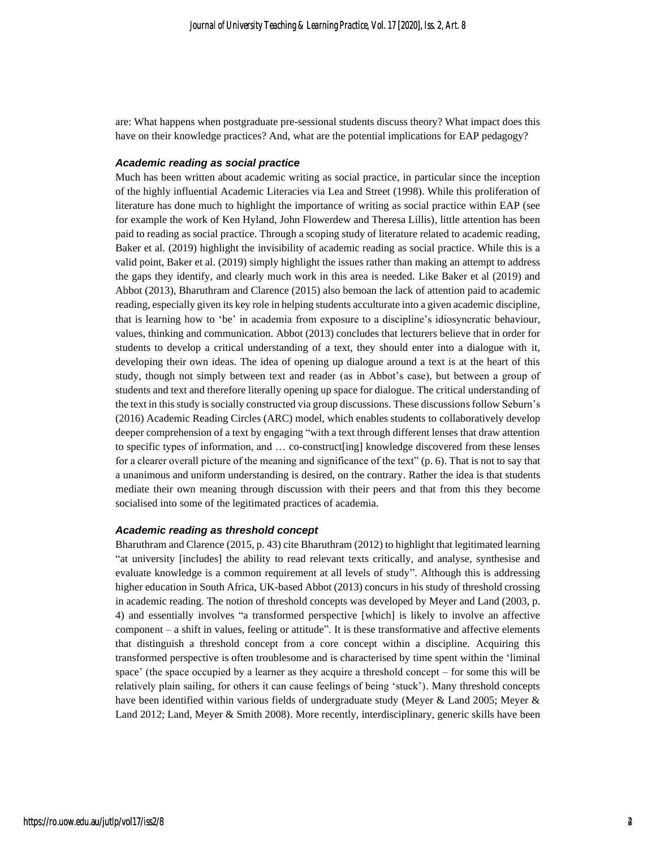are: What happens when postgraduate pre-sessional students discuss theory? What impact does this have on their knowledge practices? And, what are the potential implications for EAP pedagogy?

#### *Academic reading as social practice*

Much has been written about academic writing as social practice, in particular since the inception of the highly influential Academic Literacies via Lea and Street (1998). While this proliferation of literature has done much to highlight the importance of writing as social practice within EAP (see for example the work of Ken Hyland, John Flowerdew and Theresa Lillis), little attention has been paid to reading as social practice. Through a scoping study of literature related to academic reading, Baker et al. (2019) highlight the invisibility of academic reading as social practice. While this is a valid point, Baker et al. (2019) simply highlight the issues rather than making an attempt to address the gaps they identify, and clearly much work in this area is needed. Like Baker et al (2019) and Abbot (2013), Bharuthram and Clarence (2015) also bemoan the lack of attention paid to academic reading, especially given its key role in helping students acculturate into a given academic discipline, that is learning how to 'be' in academia from exposure to a discipline's idiosyncratic behaviour, values, thinking and communication. Abbot (2013) concludes that lecturers believe that in order for students to develop a critical understanding of a text, they should enter into a dialogue with it, developing their own ideas. The idea of opening up dialogue around a text is at the heart of this study, though not simply between text and reader (as in Abbot's case), but between a group of students and text and therefore literally opening up space for dialogue. The critical understanding of the text in this study is socially constructed via group discussions. These discussionsfollow Seburn's (2016) Academic Reading Circles (ARC) model, which enables students to collaboratively develop deeper comprehension of a text by engaging "with a text through different lenses that draw attention to specific types of information, and … co-construct[ing] knowledge discovered from these lenses for a clearer overall picture of the meaning and significance of the text" (p. 6). That is not to say that a unanimous and uniform understanding is desired, on the contrary. Rather the idea is that students mediate their own meaning through discussion with their peers and that from this they become socialised into some of the legitimated practices of academia.

#### *Academic reading as threshold concept*

Bharuthram and Clarence (2015, p. 43) cite Bharuthram (2012) to highlight that legitimated learning "at university [includes] the ability to read relevant texts critically, and analyse, synthesise and evaluate knowledge is a common requirement at all levels of study". Although this is addressing higher education in South Africa, UK-based Abbot (2013) concurs in his study of threshold crossing in academic reading. The notion of threshold concepts was developed by Meyer and Land (2003, p. 4) and essentially involves "a transformed perspective [which] is likely to involve an affective component – a shift in values, feeling or attitude". It is these transformative and affective elements that distinguish a threshold concept from a core concept within a discipline. Acquiring this transformed perspective is often troublesome and is characterised by time spent within the 'liminal space' (the space occupied by a learner as they acquire a threshold concept – for some this will be relatively plain sailing, for others it can cause feelings of being 'stuck'). Many threshold concepts have been identified within various fields of undergraduate study (Meyer & Land 2005; Meyer & Land 2012; Land, Meyer & Smith 2008). More recently, interdisciplinary, generic skills have been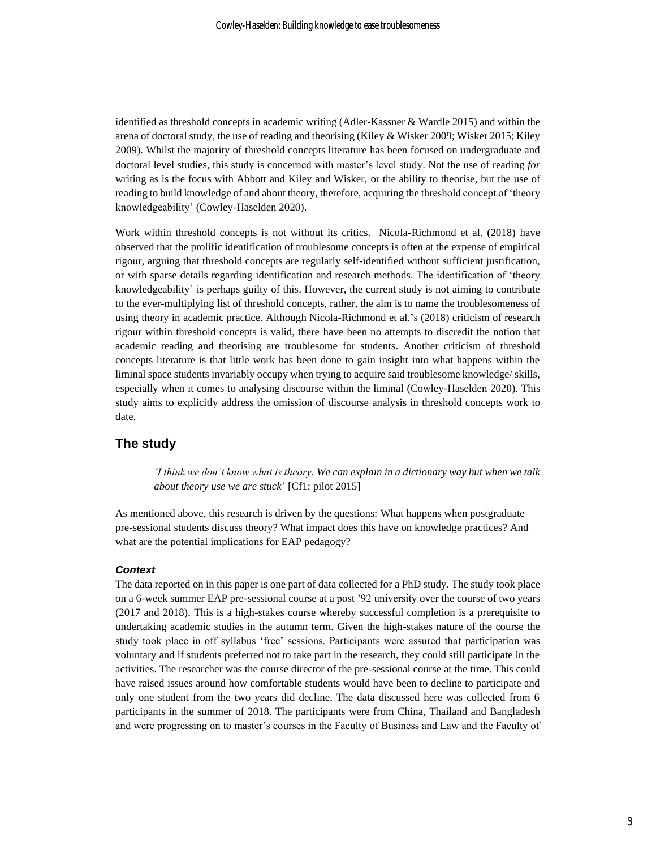identified as threshold concepts in academic writing (Adler-Kassner & Wardle 2015) and within the arena of doctoral study, the use of reading and theorising (Kiley & Wisker 2009; Wisker 2015; Kiley 2009). Whilst the majority of threshold concepts literature has been focused on undergraduate and doctoral level studies, this study is concerned with master's level study. Not the use of reading *for* writing as is the focus with Abbott and Kiley and Wisker, or the ability to theorise, but the use of reading to build knowledge of and about theory, therefore, acquiring the threshold concept of 'theory knowledgeability' (Cowley-Haselden 2020).

Work within threshold concepts is not without its critics. Nicola-Richmond et al. (2018) have observed that the prolific identification of troublesome concepts is often at the expense of empirical rigour, arguing that threshold concepts are regularly self-identified without sufficient justification, or with sparse details regarding identification and research methods. The identification of 'theory knowledgeability' is perhaps guilty of this. However, the current study is not aiming to contribute to the ever-multiplying list of threshold concepts, rather, the aim is to name the troublesomeness of using theory in academic practice. Although Nicola-Richmond et al.'s (2018) criticism of research rigour within threshold concepts is valid, there have been no attempts to discredit the notion that academic reading and theorising are troublesome for students. Another criticism of threshold concepts literature is that little work has been done to gain insight into what happens within the liminal space students invariably occupy when trying to acquire said troublesome knowledge/ skills, especially when it comes to analysing discourse within the liminal (Cowley-Haselden 2020). This study aims to explicitly address the omission of discourse analysis in threshold concepts work to date.

### **The study**

*'I think we don't know what is theory. We can explain in a dictionary way but when we talk about theory use we are stuck*' [Cf1: pilot 2015]

As mentioned above, this research is driven by the questions: What happens when postgraduate pre-sessional students discuss theory? What impact does this have on knowledge practices? And what are the potential implications for EAP pedagogy?

#### *Context*

The data reported on in this paper is one part of data collected for a PhD study. The study took place on a 6-week summer EAP pre-sessional course at a post '92 university over the course of two years (2017 and 2018). This is a high-stakes course whereby successful completion is a prerequisite to undertaking academic studies in the autumn term. Given the high-stakes nature of the course the study took place in off syllabus 'free' sessions. Participants were assured that participation was voluntary and if students preferred not to take part in the research, they could still participate in the activities. The researcher was the course director of the pre-sessional course at the time. This could have raised issues around how comfortable students would have been to decline to participate and only one student from the two years did decline. The data discussed here was collected from 6 participants in the summer of 2018. The participants were from China, Thailand and Bangladesh and were progressing on to master's courses in the Faculty of Business and Law and the Faculty of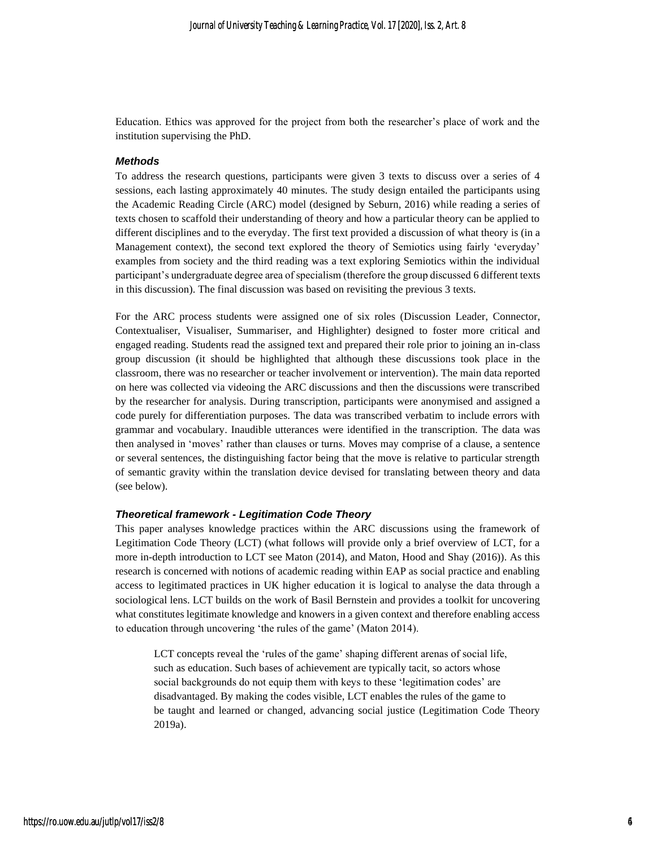Education. Ethics was approved for the project from both the researcher's place of work and the institution supervising the PhD.

#### *Methods*

To address the research questions, participants were given 3 texts to discuss over a series of 4 sessions, each lasting approximately 40 minutes. The study design entailed the participants using the Academic Reading Circle (ARC) model (designed by Seburn, 2016) while reading a series of texts chosen to scaffold their understanding of theory and how a particular theory can be applied to different disciplines and to the everyday. The first text provided a discussion of what theory is (in a Management context), the second text explored the theory of Semiotics using fairly 'everyday' examples from society and the third reading was a text exploring Semiotics within the individual participant's undergraduate degree area of specialism (therefore the group discussed 6 different texts in this discussion). The final discussion was based on revisiting the previous 3 texts.

For the ARC process students were assigned one of six roles (Discussion Leader, Connector, Contextualiser, Visualiser, Summariser, and Highlighter) designed to foster more critical and engaged reading. Students read the assigned text and prepared their role prior to joining an in-class group discussion (it should be highlighted that although these discussions took place in the classroom, there was no researcher or teacher involvement or intervention). The main data reported on here was collected via videoing the ARC discussions and then the discussions were transcribed by the researcher for analysis. During transcription, participants were anonymised and assigned a code purely for differentiation purposes. The data was transcribed verbatim to include errors with grammar and vocabulary. Inaudible utterances were identified in the transcription. The data was then analysed in 'moves' rather than clauses or turns. Moves may comprise of a clause, a sentence or several sentences, the distinguishing factor being that the move is relative to particular strength of semantic gravity within the translation device devised for translating between theory and data (see below).

#### *Theoretical framework - Legitimation Code Theory*

This paper analyses knowledge practices within the ARC discussions using the framework of Legitimation Code Theory (LCT) (what follows will provide only a brief overview of LCT, for a more in-depth introduction to LCT see Maton (2014), and Maton, Hood and Shay (2016)). As this research is concerned with notions of academic reading within EAP as social practice and enabling access to legitimated practices in UK higher education it is logical to analyse the data through a sociological lens. LCT builds on the work of Basil Bernstein and provides a toolkit for uncovering what constitutes legitimate knowledge and knowers in a given context and therefore enabling access to education through uncovering 'the rules of the game' (Maton 2014).

LCT concepts reveal the 'rules of the game' shaping different arenas of social life, such as education. Such bases of achievement are typically tacit, so actors whose social backgrounds do not equip them with keys to these 'legitimation codes' are disadvantaged. By making the codes visible, LCT enables the rules of the game to be taught and learned or changed, advancing social justice (Legitimation Code Theory 2019a).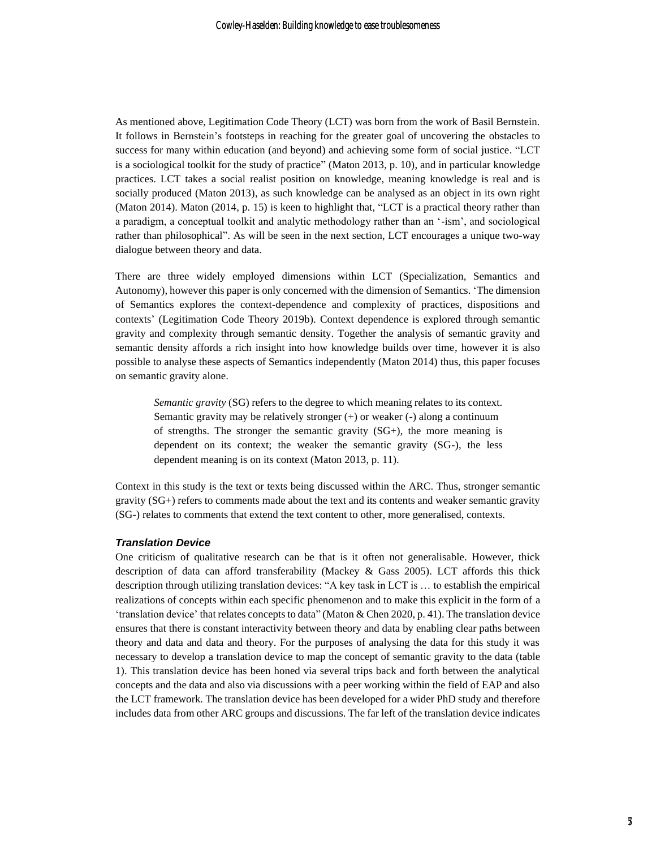As mentioned above, Legitimation Code Theory (LCT) was born from the work of Basil Bernstein. It follows in Bernstein's footsteps in reaching for the greater goal of uncovering the obstacles to success for many within education (and beyond) and achieving some form of social justice. "LCT is a sociological toolkit for the study of practice" (Maton 2013, p. 10), and in particular knowledge practices. LCT takes a social realist position on knowledge, meaning knowledge is real and is socially produced (Maton 2013), as such knowledge can be analysed as an object in its own right (Maton 2014). Maton (2014, p. 15) is keen to highlight that, "LCT is a practical theory rather than a paradigm, a conceptual toolkit and analytic methodology rather than an '-ism', and sociological rather than philosophical". As will be seen in the next section, LCT encourages a unique two-way dialogue between theory and data.

There are three widely employed dimensions within LCT (Specialization, Semantics and Autonomy), however this paper is only concerned with the dimension of Semantics. 'The dimension of Semantics explores the context-dependence and complexity of practices, dispositions and contexts' (Legitimation Code Theory 2019b). Context dependence is explored through semantic gravity and complexity through semantic density. Together the analysis of semantic gravity and semantic density affords a rich insight into how knowledge builds over time, however it is also possible to analyse these aspects of Semantics independently (Maton 2014) thus, this paper focuses on semantic gravity alone.

*Semantic gravity* (SG) refers to the degree to which meaning relates to its context. Semantic gravity may be relatively stronger  $(+)$  or weaker  $(-)$  along a continuum of strengths. The stronger the semantic gravity  $(SG<sub>+</sub>)$ , the more meaning is dependent on its context; the weaker the semantic gravity (SG-), the less dependent meaning is on its context (Maton 2013, p. 11).

Context in this study is the text or texts being discussed within the ARC. Thus, stronger semantic gravity (SG+) refers to comments made about the text and its contents and weaker semantic gravity (SG-) relates to comments that extend the text content to other, more generalised, contexts.

#### *Translation Device*

One criticism of qualitative research can be that is it often not generalisable. However, thick description of data can afford transferability (Mackey & Gass 2005). LCT affords this thick description through utilizing translation devices: "A key task in LCT is … to establish the empirical realizations of concepts within each specific phenomenon and to make this explicit in the form of a 'translation device' that relates concepts to data" (Maton & Chen 2020, p. 41). The translation device ensures that there is constant interactivity between theory and data by enabling clear paths between theory and data and data and theory. For the purposes of analysing the data for this study it was necessary to develop a translation device to map the concept of semantic gravity to the data (table 1). This translation device has been honed via several trips back and forth between the analytical concepts and the data and also via discussions with a peer working within the field of EAP and also the LCT framework. The translation device has been developed for a wider PhD study and therefore includes data from other ARC groups and discussions. The far left of the translation device indicates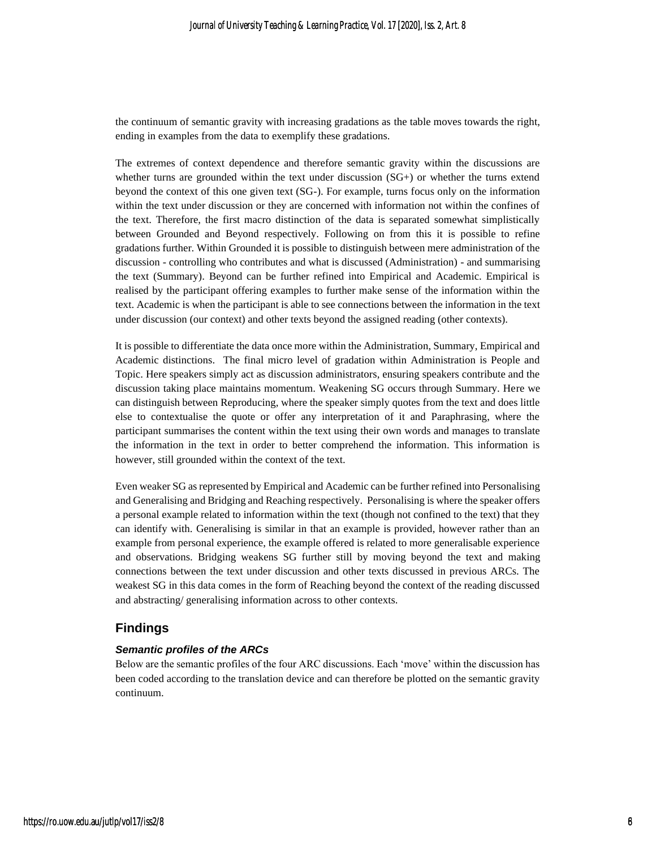the continuum of semantic gravity with increasing gradations as the table moves towards the right, ending in examples from the data to exemplify these gradations.

The extremes of context dependence and therefore semantic gravity within the discussions are whether turns are grounded within the text under discussion (SG+) or whether the turns extend beyond the context of this one given text (SG-). For example, turns focus only on the information within the text under discussion or they are concerned with information not within the confines of the text. Therefore, the first macro distinction of the data is separated somewhat simplistically between Grounded and Beyond respectively. Following on from this it is possible to refine gradations further. Within Grounded it is possible to distinguish between mere administration of the discussion - controlling who contributes and what is discussed (Administration) - and summarising the text (Summary). Beyond can be further refined into Empirical and Academic. Empirical is realised by the participant offering examples to further make sense of the information within the text. Academic is when the participant is able to see connections between the information in the text under discussion (our context) and other texts beyond the assigned reading (other contexts).

It is possible to differentiate the data once more within the Administration, Summary, Empirical and Academic distinctions. The final micro level of gradation within Administration is People and Topic. Here speakers simply act as discussion administrators, ensuring speakers contribute and the discussion taking place maintains momentum. Weakening SG occurs through Summary. Here we can distinguish between Reproducing, where the speaker simply quotes from the text and does little else to contextualise the quote or offer any interpretation of it and Paraphrasing, where the participant summarises the content within the text using their own words and manages to translate the information in the text in order to better comprehend the information. This information is however, still grounded within the context of the text.

Even weaker SG as represented by Empirical and Academic can be further refined into Personalising and Generalising and Bridging and Reaching respectively. Personalising is where the speaker offers a personal example related to information within the text (though not confined to the text) that they can identify with. Generalising is similar in that an example is provided, however rather than an example from personal experience, the example offered is related to more generalisable experience and observations. Bridging weakens SG further still by moving beyond the text and making connections between the text under discussion and other texts discussed in previous ARCs. The weakest SG in this data comes in the form of Reaching beyond the context of the reading discussed and abstracting/ generalising information across to other contexts.

## **Findings**

### *Semantic profiles of the ARCs*

Below are the semantic profiles of the four ARC discussions. Each 'move' within the discussion has been coded according to the translation device and can therefore be plotted on the semantic gravity continuum.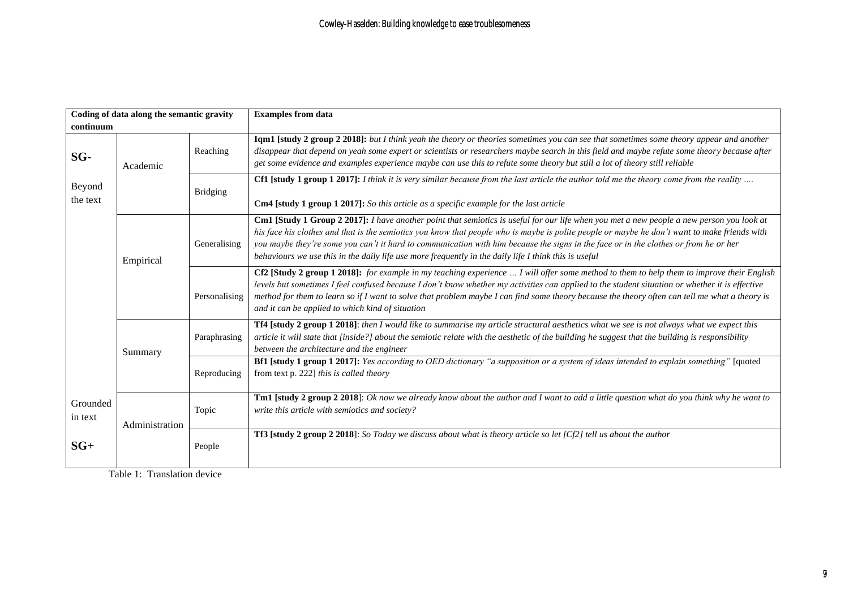| Coding of data along the semantic gravity |                |                 | <b>Examples from data</b>                                                                                                                                                                                                                                                                                                                                                                                                                                                                                                                   |
|-------------------------------------------|----------------|-----------------|---------------------------------------------------------------------------------------------------------------------------------------------------------------------------------------------------------------------------------------------------------------------------------------------------------------------------------------------------------------------------------------------------------------------------------------------------------------------------------------------------------------------------------------------|
| continuum                                 |                |                 |                                                                                                                                                                                                                                                                                                                                                                                                                                                                                                                                             |
| SG-<br>Beyond<br>the text                 | Academic       | Reaching        | Iqm1 [study 2 group 2 2018]: but I think yeah the theory or theories sometimes you can see that sometimes some theory appear and another<br>disappear that depend on yeah some expert or scientists or researchers maybe search in this field and maybe refute some theory because after<br>get some evidence and examples experience maybe can use this to refute some theory but still a lot of theory still reliable                                                                                                                     |
|                                           |                | <b>Bridging</b> | Cf1 [study 1 group 1 2017]: I think it is very similar because from the last article the author told me the theory come from the reality<br><b>Cm4</b> [study 1 group 1 2017]: So this article as a specific example for the last article                                                                                                                                                                                                                                                                                                   |
|                                           | Empirical      | Generalising    | Cm1 [Study 1 Group 2 2017]: I have another point that semiotics is useful for our life when you met a new people a new person you look at<br>his face his clothes and that is the semiotics you know that people who is maybe is polite people or maybe he don't want to make friends with<br>you maybe they're some you can't it hard to communication with him because the signs in the face or in the clothes or from he or her<br>behaviours we use this in the daily life use more frequently in the daily life I think this is useful |
|                                           |                | Personalising   | Cf2 [Study 2 group 1 2018]: for example in my teaching experience  I will offer some method to them to help them to improve their English<br>levels but sometimes I feel confused because I don't know whether my activities can applied to the student situation or whether it is effective<br>method for them to learn so if I want to solve that problem maybe I can find some theory because the theory often can tell me what a theory is<br>and it can be applied to which kind of situation                                          |
|                                           | Summary        | Paraphrasing    | Tf4 [study 2 group 1 2018]: then I would like to summarise my article structural aesthetics what we see is not always what we expect this<br>article it will state that [inside?] about the semiotic relate with the aesthetic of the building he suggest that the building is responsibility<br>between the architecture and the engineer                                                                                                                                                                                                  |
|                                           |                | Reproducing     | Bf1 [study 1 group 1 2017]: Yes according to OED dictionary "a supposition or a system of ideas intended to explain something" [quoted]<br>from text p. 222] this is called theory                                                                                                                                                                                                                                                                                                                                                          |
| Grounded<br>in text                       | Administration | Topic           | Tm1 [study 2 group 2 2018]: Ok now we already know about the author and I want to add a little question what do you think why he want to<br>write this article with semiotics and society?                                                                                                                                                                                                                                                                                                                                                  |
| $SG+$                                     |                | People          | <b>Tf3</b> [study 2 group 2 2018]: So Today we discuss about what is theory article so let $[Cf2]$ tell us about the author                                                                                                                                                                                                                                                                                                                                                                                                                 |

Table 1: Translation device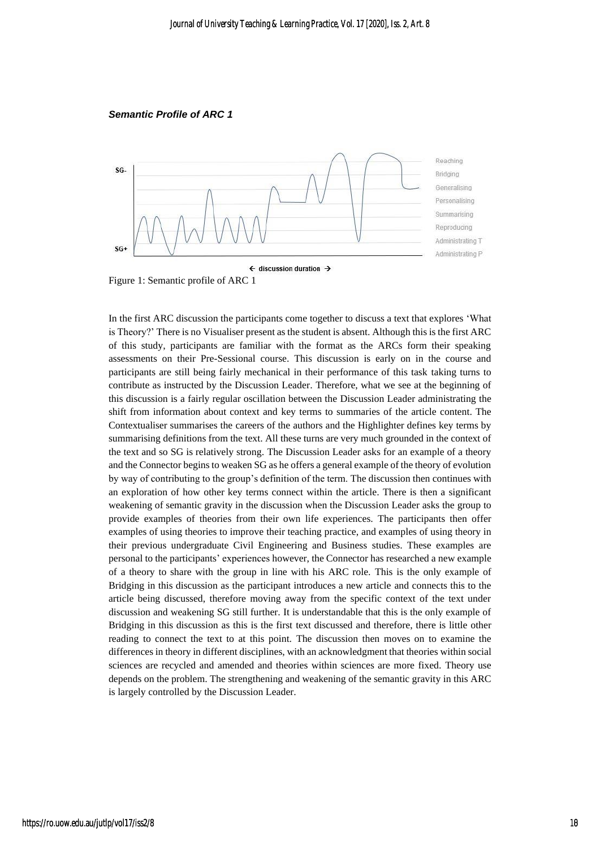*Semantic Profile of ARC 1*



Figure 1: Semantic profile of ARC 1

In the first ARC discussion the participants come together to discuss a text that explores 'What is Theory?' There is no Visualiser present as the student is absent. Although this is the first ARC of this study, participants are familiar with the format as the ARCs form their speaking assessments on their Pre-Sessional course. This discussion is early on in the course and participants are still being fairly mechanical in their performance of this task taking turns to contribute as instructed by the Discussion Leader. Therefore, what we see at the beginning of this discussion is a fairly regular oscillation between the Discussion Leader administrating the shift from information about context and key terms to summaries of the article content. The Contextualiser summarises the careers of the authors and the Highlighter defines key terms by summarising definitions from the text. All these turns are very much grounded in the context of the text and so SG is relatively strong. The Discussion Leader asks for an example of a theory and the Connector begins to weaken SG as he offers a general example of the theory of evolution by way of contributing to the group's definition of the term. The discussion then continues with an exploration of how other key terms connect within the article. There is then a significant weakening of semantic gravity in the discussion when the Discussion Leader asks the group to provide examples of theories from their own life experiences. The participants then offer examples of using theories to improve their teaching practice, and examples of using theory in their previous undergraduate Civil Engineering and Business studies. These examples are personal to the participants' experiences however, the Connector has researched a new example of a theory to share with the group in line with his ARC role. This is the only example of Bridging in this discussion as the participant introduces a new article and connects this to the article being discussed, therefore moving away from the specific context of the text under discussion and weakening SG still further. It is understandable that this is the only example of Bridging in this discussion as this is the first text discussed and therefore, there is little other reading to connect the text to at this point. The discussion then moves on to examine the differences in theory in different disciplines, with an acknowledgment that theories within social sciences are recycled and amended and theories within sciences are more fixed. Theory use depends on the problem. The strengthening and weakening of the semantic gravity in this ARC is largely controlled by the Discussion Leader.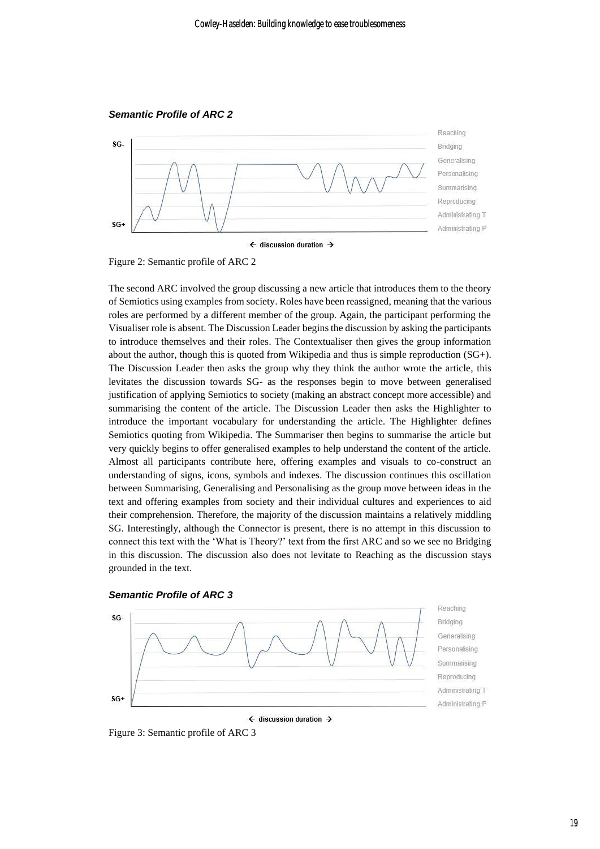

Figure 2: Semantic profile of ARC 2

The second ARC involved the group discussing a new article that introduces them to the theory of Semiotics using examples from society. Roles have been reassigned, meaning that the various roles are performed by a different member of the group. Again, the participant performing the Visualiser role is absent. The Discussion Leader begins the discussion by asking the participants to introduce themselves and their roles. The Contextualiser then gives the group information about the author, though this is quoted from Wikipedia and thus is simple reproduction (SG+). The Discussion Leader then asks the group why they think the author wrote the article, this levitates the discussion towards SG- as the responses begin to move between generalised justification of applying Semiotics to society (making an abstract concept more accessible) and summarising the content of the article. The Discussion Leader then asks the Highlighter to introduce the important vocabulary for understanding the article. The Highlighter defines Semiotics quoting from Wikipedia. The Summariser then begins to summarise the article but very quickly begins to offer generalised examples to help understand the content of the article. Almost all participants contribute here, offering examples and visuals to co-construct an understanding of signs, icons, symbols and indexes. The discussion continues this oscillation between Summarising, Generalising and Personalising as the group move between ideas in the text and offering examples from society and their individual cultures and experiences to aid their comprehension. Therefore, the majority of the discussion maintains a relatively middling SG. Interestingly, although the Connector is present, there is no attempt in this discussion to connect this text with the 'What is Theory?' text from the first ARC and so we see no Bridging in this discussion. The discussion also does not levitate to Reaching as the discussion stays grounded in the text.





Figure 3: Semantic profile of ARC 3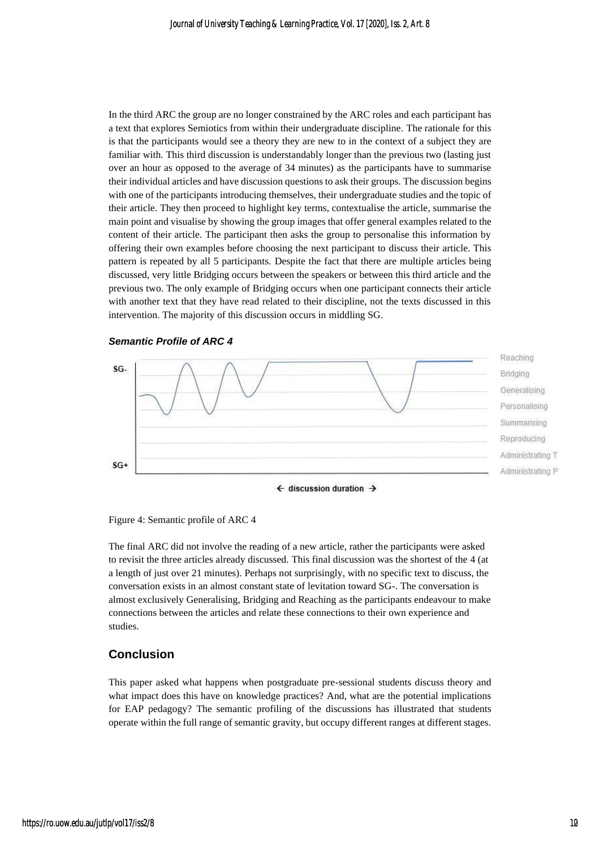In the third ARC the group are no longer constrained by the ARC roles and each participant has a text that explores Semiotics from within their undergraduate discipline. The rationale for this is that the participants would see a theory they are new to in the context of a subject they are familiar with. This third discussion is understandably longer than the previous two (lasting just over an hour as opposed to the average of 34 minutes) as the participants have to summarise their individual articles and have discussion questions to ask their groups. The discussion begins with one of the participants introducing themselves, their undergraduate studies and the topic of their article. They then proceed to highlight key terms, contextualise the article, summarise the main point and visualise by showing the group images that offer general examples related to the content of their article. The participant then asks the group to personalise this information by offering their own examples before choosing the next participant to discuss their article. This pattern is repeated by all 5 participants. Despite the fact that there are multiple articles being discussed, very little Bridging occurs between the speakers or between this third article and the previous two. The only example of Bridging occurs when one participant connects their article with another text that they have read related to their discipline, not the texts discussed in this intervention. The majority of this discussion occurs in middling SG.



*Semantic Profile of ARC 4*

Figure 4: Semantic profile of ARC 4

The final ARC did not involve the reading of a new article, rather the participants were asked to revisit the three articles already discussed. This final discussion was the shortest of the 4 (at a length of just over 21 minutes). Perhaps not surprisingly, with no specific text to discuss, the conversation exists in an almost constant state of levitation toward SG-. The conversation is almost exclusively Generalising, Bridging and Reaching as the participants endeavour to make connections between the articles and relate these connections to their own experience and studies.

### **Conclusion**

This paper asked what happens when postgraduate pre-sessional students discuss theory and what impact does this have on knowledge practices? And, what are the potential implications for EAP pedagogy? The semantic profiling of the discussions has illustrated that students operate within the full range of semantic gravity, but occupy different ranges at different stages.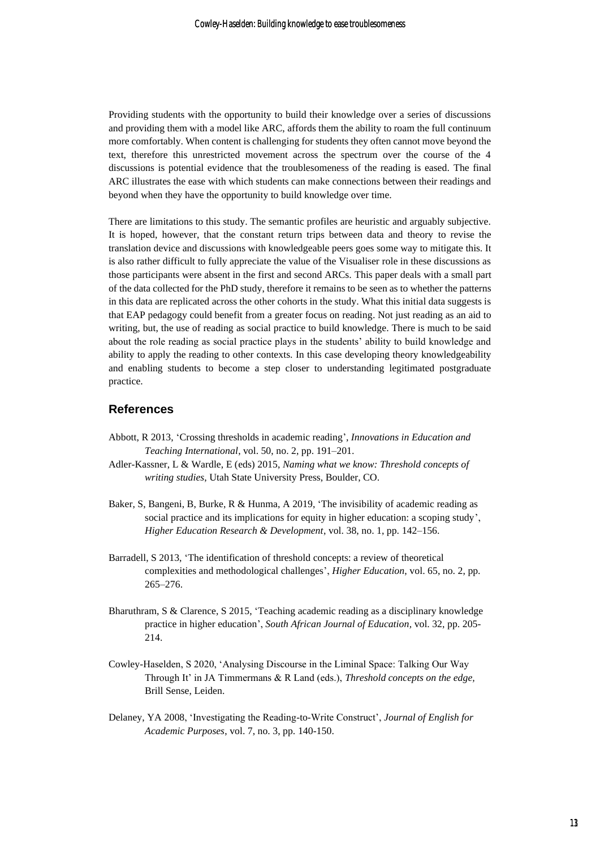Providing students with the opportunity to build their knowledge over a series of discussions and providing them with a model like ARC, affords them the ability to roam the full continuum more comfortably. When content is challenging for students they often cannot move beyond the text, therefore this unrestricted movement across the spectrum over the course of the 4 discussions is potential evidence that the troublesomeness of the reading is eased. The final ARC illustrates the ease with which students can make connections between their readings and beyond when they have the opportunity to build knowledge over time.

There are limitations to this study. The semantic profiles are heuristic and arguably subjective. It is hoped, however, that the constant return trips between data and theory to revise the translation device and discussions with knowledgeable peers goes some way to mitigate this. It is also rather difficult to fully appreciate the value of the Visualiser role in these discussions as those participants were absent in the first and second ARCs. This paper deals with a small part of the data collected for the PhD study, therefore it remains to be seen as to whether the patterns in this data are replicated across the other cohorts in the study. What this initial data suggests is that EAP pedagogy could benefit from a greater focus on reading. Not just reading as an aid to writing, but, the use of reading as social practice to build knowledge. There is much to be said about the role reading as social practice plays in the students' ability to build knowledge and ability to apply the reading to other contexts. In this case developing theory knowledgeability and enabling students to become a step closer to understanding legitimated postgraduate practice.

### **References**

- Abbott, R 2013, 'Crossing thresholds in academic reading', *Innovations in Education and Teaching International*, vol. 50, no. 2, pp. 191–201.
- Adler-Kassner, L & Wardle, E (eds) 2015, *Naming what we know: Threshold concepts of writing studies*, Utah State University Press, Boulder, CO.
- Baker, S, Bangeni, B, Burke, R & Hunma, A 2019, 'The invisibility of academic reading as social practice and its implications for equity in higher education: a scoping study', *Higher Education Research & Development*, vol. 38, no. 1, pp. 142–156.
- Barradell, S 2013, 'The identification of threshold concepts: a review of theoretical complexities and methodological challenges', *Higher Education*, vol. 65, no. 2, pp. 265–276.
- Bharuthram, S & Clarence, S 2015, 'Teaching academic reading as a disciplinary knowledge practice in higher education', *South African Journal of Education,* vol. 32, pp. 205- 214.
- Cowley-Haselden, S 2020, 'Analysing Discourse in the Liminal Space: Talking Our Way Through It' in JA Timmermans & R Land (eds.), *Threshold concepts on the edge,*  Brill Sense, Leiden.
- Delaney, YA 2008, 'Investigating the Reading-to-Write Construct', *Journal of English for Academic Purposes*, vol. 7, no. 3, pp. 140-150.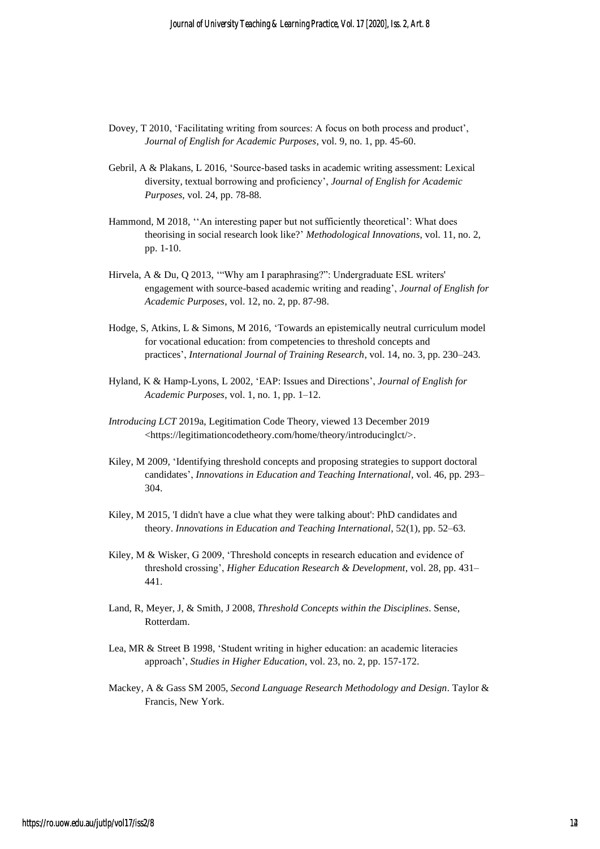- Dovey, T 2010, 'Facilitating writing from sources: A focus on both process and product', *Journal of English for Academic Purposes*, vol. 9, no. 1, pp. 45-60.
- Gebril, A & Plakans, L 2016, 'Source-based tasks in academic writing assessment: Lexical diversity, textual borrowing and proficiency', *Journal of English for Academic Purposes*, vol. 24, pp. 78-88.
- Hammond, M 2018, ''An interesting paper but not sufficiently theoretical': What does theorising in social research look like?' *Methodological Innovations*, vol. 11, no. 2, pp. 1-10.
- Hirvela, A & Du, Q 2013, '"Why am I paraphrasing?": Undergraduate ESL writers' engagement with source-based academic writing and reading', *Journal of English for Academic Purposes*, vol. 12, no. 2, pp. 87-98.
- Hodge, S, Atkins, L & Simons, M 2016, 'Towards an epistemically neutral curriculum model for vocational education: from competencies to threshold concepts and practices', *International Journal of Training Research*, vol. 14, no. 3, pp. 230–243.
- Hyland, K & Hamp-Lyons, L 2002, 'EAP: Issues and Directions', *Journal of English for Academic Purposes*, vol. 1, no. 1, pp. 1–12.
- *Introducing LCT* 2019a, Legitimation Code Theory, viewed 13 December 2019 <https://legitimationcodetheory.com/home/theory/introducinglct/>.
- Kiley, M 2009, 'Identifying threshold concepts and proposing strategies to support doctoral candidates', *Innovations in Education and Teaching International*, vol. 46, pp. 293– 304.
- Kiley, M 2015, 'I didn't have a clue what they were talking about': PhD candidates and theory. *Innovations in Education and Teaching International*, 52(1), pp. 52–63.
- Kiley, M & Wisker, G 2009, 'Threshold concepts in research education and evidence of threshold crossing', *Higher Education Research & Development*, vol. 28, pp. 431– 441.
- Land, R, Meyer, J, & Smith, J 2008, *Threshold Concepts within the Disciplines*. Sense, Rotterdam.
- Lea, MR & Street B 1998, 'Student writing in higher education: an academic literacies approach', *Studies in Higher Education*, vol. 23, no. 2, pp. 157-172.
- Mackey, A & Gass SM 2005, *Second Language Research Methodology and Design*. Taylor & Francis, New York.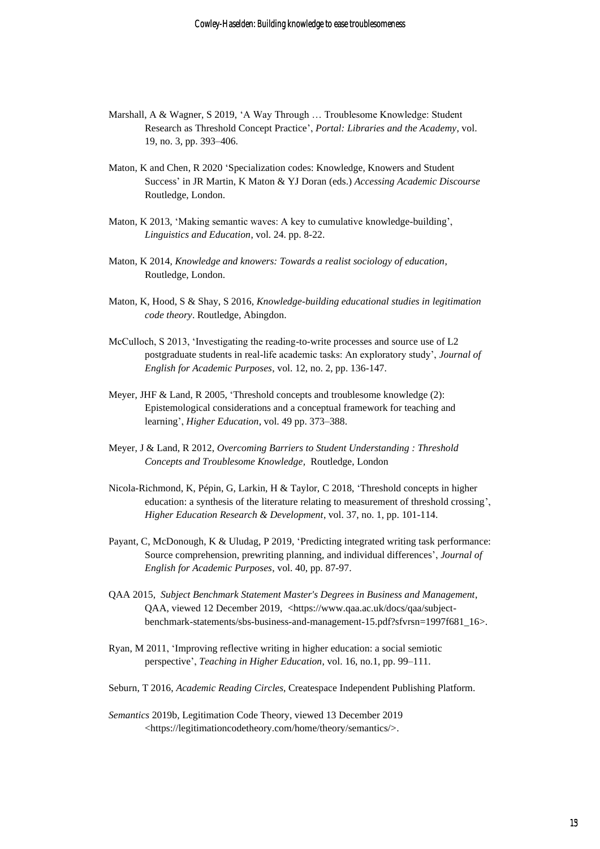- Marshall, A & Wagner, S 2019, 'A Way Through … Troublesome Knowledge: Student Research as Threshold Concept Practice', *Portal: Libraries and the Academy*, vol. 19, no. 3, pp. 393–406.
- Maton, K and Chen, R 2020 'Specialization codes: Knowledge, Knowers and Student Success' in JR Martin, K Maton & YJ Doran (eds.) *Accessing Academic Discourse* Routledge, London.
- Maton, K 2013, 'Making semantic waves: A key to cumulative knowledge-building', *Linguistics and Education*, vol. 24. pp. 8-22.
- Maton, K 2014, *Knowledge and knowers: Towards a realist sociology of education*, Routledge, London.
- Maton, K, Hood, S & Shay, S 2016, *Knowledge-building educational studies in legitimation code theory*. Routledge, Abingdon.
- McCulloch, S 2013, 'Investigating the reading-to-write processes and source use of L2 postgraduate students in real-life academic tasks: An exploratory study', *Journal of English for Academic Purposes*, vol. 12, no. 2, pp. 136-147.
- Meyer, JHF & Land, R 2005, 'Threshold concepts and troublesome knowledge (2): Epistemological considerations and a conceptual framework for teaching and learning', *Higher Education*, vol. 49 pp. 373–388.
- Meyer, J & Land, R 2012, *Overcoming Barriers to Student Understanding : Threshold Concepts and Troublesome Knowledge,* Routledge, London
- Nicola-Richmond, K, Pépin, G, Larkin, H & Taylor, C 2018, 'Threshold concepts in higher education: a synthesis of the literature relating to measurement of threshold crossing', *Higher Education Research & Development*, vol. 37, no. 1, pp. 101-114.
- Payant, C, McDonough, K & Uludag, P 2019, 'Predicting integrated writing task performance: Source comprehension, prewriting planning, and individual differences', *Journal of English for Academic Purposes*, vol. 40, pp. 87-97.
- QAA 2015, *Subject Benchmark Statement Master's Degrees in Business and Management*, QAA, viewed 12 December 2019, <https://www.qaa.ac.uk/docs/qaa/subjectbenchmark-statements/sbs-business-and-management-15.pdf?sfvrsn=1997f681\_16>.
- Ryan, M 2011, 'Improving reflective writing in higher education: a social semiotic perspective', *Teaching in Higher Education*, vol. 16, no.1, pp. 99–111.
- Seburn, T 2016, *Academic Reading Circles*, Createspace Independent Publishing Platform.
- *Semantics* 2019b, Legitimation Code Theory, viewed 13 December 2019 <https://legitimationcodetheory.com/home/theory/semantics/>.